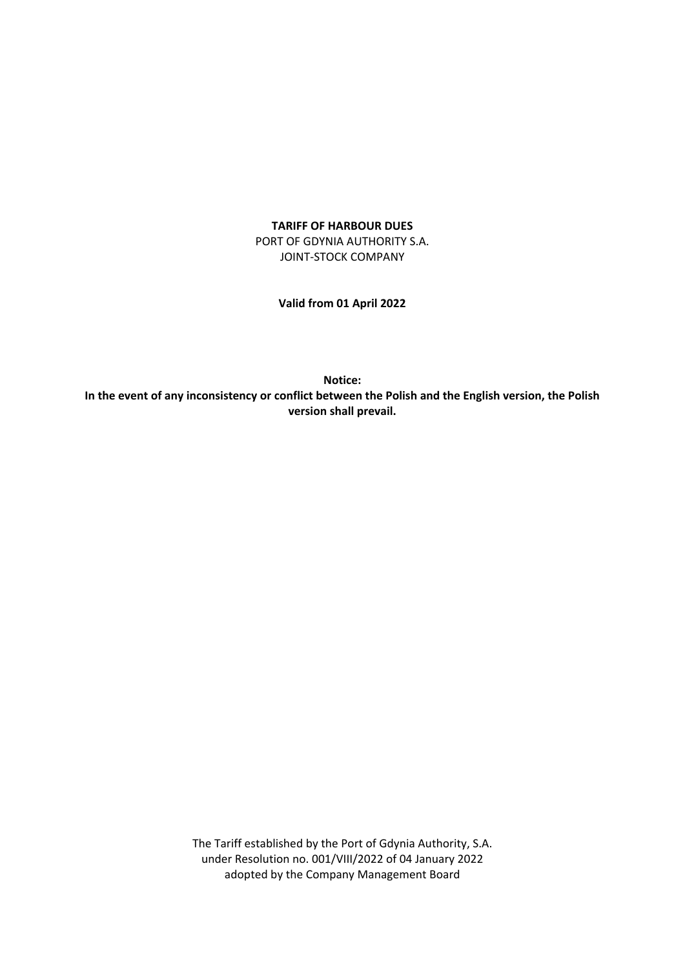#### **TARIFF OF HARBOUR DUES**

PORT OF GDYNIA AUTHORITY S.A. JOINT-STOCK COMPANY

**Valid from 01 April 2022**

**Notice: In the event of any inconsistency or conflict between the Polish and the English version, the Polish version shall prevail.**

> The Tariff established by the Port of Gdynia Authority, S.A. under Resolution no. 001/VIII/2022 of 04 January 2022 adopted by the Company Management Board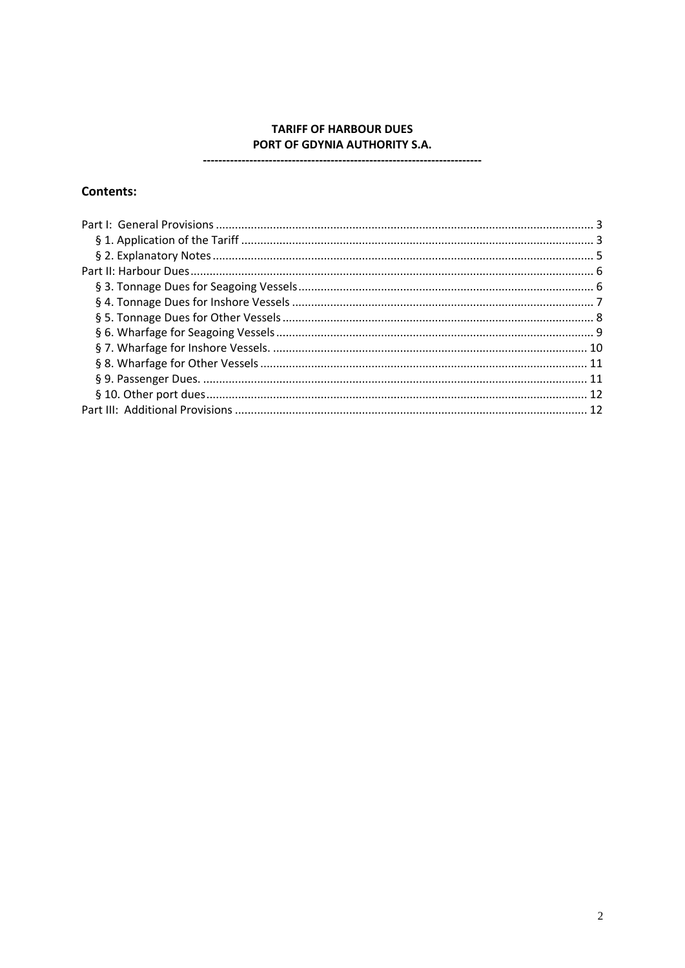# **TARIFF OF HARBOUR DUES** PORT OF GDYNIA AUTHORITY S.A.

#### ---------------

## **Contents:**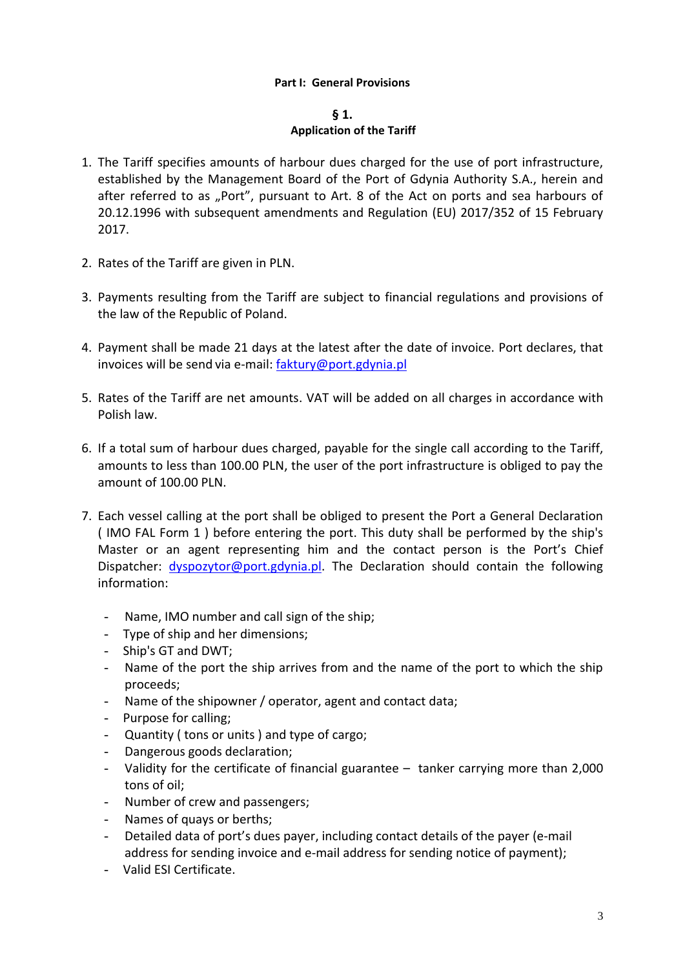# **Part I: General Provisions**

## **§ 1.**

## **§ 1. Application of the Tariff**

- <span id="page-2-1"></span><span id="page-2-0"></span>1. The Tariff specifies amounts of harbour dues charged for the use of port infrastructure, established by the Management Board of the Port of Gdynia Authority S.A., herein and after referred to as "Port", pursuant to Art. 8 of the Act on ports and sea harbours of 20.12.1996 with subsequent amendments and Regulation (EU) 2017/352 of 15 February 2017.
- 2. Rates of the Tariff are given in PLN.
- 3. Payments resulting from the Tariff are subject to financial regulations and provisions of the law of the Republic of Poland.
- 4. Payment shall be made 21 days at the latest after the date of invoice. Port declares, that invoices will be send via e-mail: [faktury@port.gdynia.pl](mailto:faktury@port.gdynia.pl)
- 5. Rates of the Tariff are net amounts. VAT will be added on all charges in accordance with Polish law.
- 6. If a total sum of harbour dues charged, payable for the single call according to the Tariff, amounts to less than 100.00 PLN, the user of the port infrastructure is obliged to pay the amount of 100.00 PLN.
- 7. Each vessel calling at the port shall be obliged to present the Port a General Declaration ( IMO FAL Form 1 ) before entering the port. This duty shall be performed by the ship's Master or an agent representing him and the contact person is the Port's Chief Dispatcher: [dyspozytor@port.gdynia.pl.](mailto:dyspozytor@port.gdynia.pl) The Declaration should contain the following information:
	- Name, IMO number and call sign of the ship;
	- Type of ship and her dimensions;
	- Ship's GT and DWT;
	- Name of the port the ship arrives from and the name of the port to which the ship proceeds;
	- Name of the shipowner / operator, agent and contact data;
	- Purpose for calling;
	- Quantity ( tons or units ) and type of cargo;
	- Dangerous goods declaration;
	- Validity for the certificate of financial guarantee tanker carrying more than 2,000 tons of oil;
	- Number of crew and passengers;
	- Names of quays or berths;
	- Detailed data of port's dues payer, including contact details of the payer (e-mail address for sending invoice and e-mail address for sending notice of payment);
	- Valid ESI Certificate.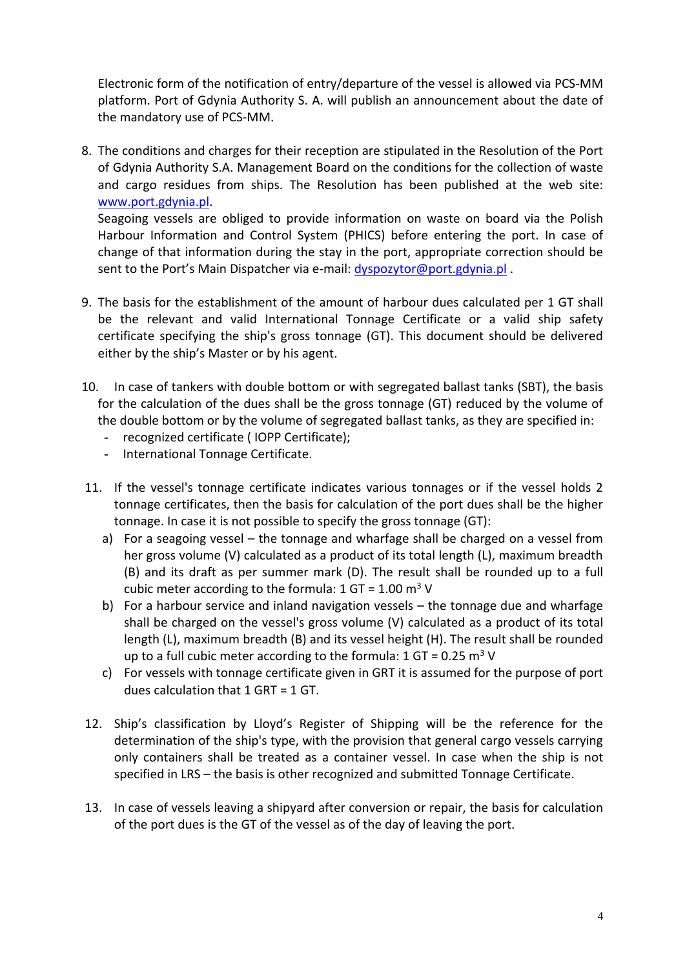Electronic form of the notification of entry/departure of the vessel is allowed via PCS-MM platform. Port of Gdynia Authority S. A. will publish an announcement about the date of the mandatory use of PCS-MM.

8. The conditions and charges for their reception are stipulated in the Resolution of the Port of Gdynia Authority S.A. Management Board on the conditions for the collection of waste and cargo residues from ships. The Resolution has been published at the web site: [www.port.gdynia.pl.](http://www.port.gdynia.pl/)

Seagoing vessels are obliged to provide information on waste on board via the Polish Harbour Information and Control System (PHICS) before entering the port. In case of change of that information during the stay in the port, appropriate correction should be sent to the Port's Main Dispatcher via e-mail: [dyspozytor@port.gdynia.pl](mailto:dyspozytor@port.gdynia.pl).

- 9. The basis for the establishment of the amount of harbour dues calculated per 1 GT shall be the relevant and valid International Tonnage Certificate or a valid ship safety certificate specifying the ship's gross tonnage (GT). This document should be delivered either by the ship's Master or by his agent.
- 10. In case of tankers with double bottom or with segregated ballast tanks (SBT), the basis for the calculation of the dues shall be the gross tonnage (GT) reduced by the volume of the double bottom or by the volume of segregated ballast tanks, as they are specified in:
	- recognized certificate ( IOPP Certificate);
	- International Tonnage Certificate.
- 11. If the vessel's tonnage certificate indicates various tonnages or if the vessel holds 2 tonnage certificates, then the basis for calculation of the port dues shall be the higher tonnage. In case it is not possible to specify the gross tonnage (GT):
	- a) For a seagoing vessel the tonnage and wharfage shall be charged on a vessel from her gross volume (V) calculated as a product of its total length (L), maximum breadth (B) and its draft as per summer mark (D). The result shall be rounded up to a full cubic meter according to the formula:  $1 \text{ GT} = 1.00 \text{ m}^3 \text{ V}$
	- b) For a harbour service and inland navigation vessels the tonnage due and wharfage shall be charged on the vessel's gross volume (V) calculated as a product of its total length (L), maximum breadth (B) and its vessel height (H). The result shall be rounded up to a full cubic meter according to the formula:  $1 \text{ GT} = 0.25 \text{ m}^3 \text{ V}$
	- c) For vessels with tonnage certificate given in GRT it is assumed for the purpose of port dues calculation that 1 GRT = 1 GT.
- 12. Ship's classification by Lloyd's Register of Shipping will be the reference for the determination of the ship's type, with the provision that general cargo vessels carrying only containers shall be treated as a container vessel. In case when the ship is not specified in LRS – the basis is other recognized and submitted Tonnage Certificate.
- 13. In case of vessels leaving a shipyard after conversion or repair, the basis for calculation of the port dues is the GT of the vessel as of the day of leaving the port.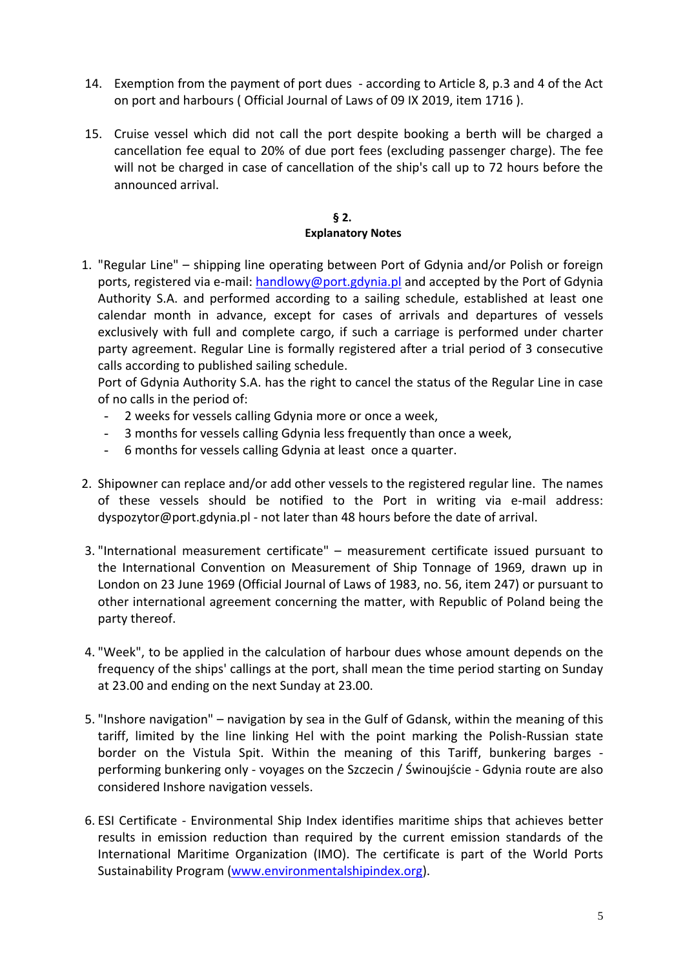- 14. Exemption from the payment of port dues according to Article 8, p.3 and 4 of the Act on port and harbours ( Official Journal of Laws of 09 IX 2019, item 1716 ).
- 15. Cruise vessel which did not call the port despite booking a berth will be charged a cancellation fee equal to 20% of due port fees (excluding passenger charge). The fee will not be charged in case of cancellation of the ship's call up to 72 hours before the announced arrival.

### **§ 2. § 2. Explanatory Notes**

<span id="page-4-0"></span>1. "Regular Line" – shipping line operating between Port of Gdynia and/or Polish or foreign ports, registered via e-mail: [handlowy@port.gdynia.pl](mailto:handlowy@port.gdynia.pl) and accepted by the Port of Gdynia Authority S.A. and performed according to a sailing schedule, established at least one calendar month in advance, except for cases of arrivals and departures of vessels exclusively with full and complete cargo, if such a carriage is performed under charter party agreement. Regular Line is formally registered after a trial period of 3 consecutive calls according to published sailing schedule.

Port of Gdynia Authority S.A. has the right to cancel the status of the Regular Line in case of no calls in the period of:

- 2 weeks for vessels calling Gdynia more or once a week,
- 3 months for vessels calling Gdynia less frequently than once a week,
- 6 months for vessels calling Gdynia at least once a quarter.
- 2. Shipowner can replace and/or add other vessels to the registered regular line. The names of these vessels should be notified to the Port in writing via e-mail address: dyspozytor@port.gdynia.pl - not later than 48 hours before the date of arrival.
- 3. "International measurement certificate" measurement certificate issued pursuant to the International Convention on Measurement of Ship Tonnage of 1969, drawn up in London on 23 June 1969 (Official Journal of Laws of 1983, no. 56, item 247) or pursuant to other international agreement concerning the matter, with Republic of Poland being the party thereof.
- 4. "Week", to be applied in the calculation of harbour dues whose amount depends on the frequency of the ships' callings at the port, shall mean the time period starting on Sunday at 23.00 and ending on the next Sunday at 23.00.
- 5. "Inshore navigation" navigation by sea in the Gulf of Gdansk, within the meaning of this tariff, limited by the line linking Hel with the point marking the Polish-Russian state border on the Vistula Spit. Within the meaning of this Tariff, bunkering barges performing bunkering only - voyages on the Szczecin / Świnoujście - Gdynia route are also considered Inshore navigation vessels.
- 6. ESI Certificate Environmental Ship Index identifies maritime ships that achieves better results in emission reduction than required by the current emission standards of the International Maritime Organization (IMO). The certificate is part of the World Ports Sustainability Program [\(www.environmentalshipindex.org\)](http://www.environmentalshipindex.org/).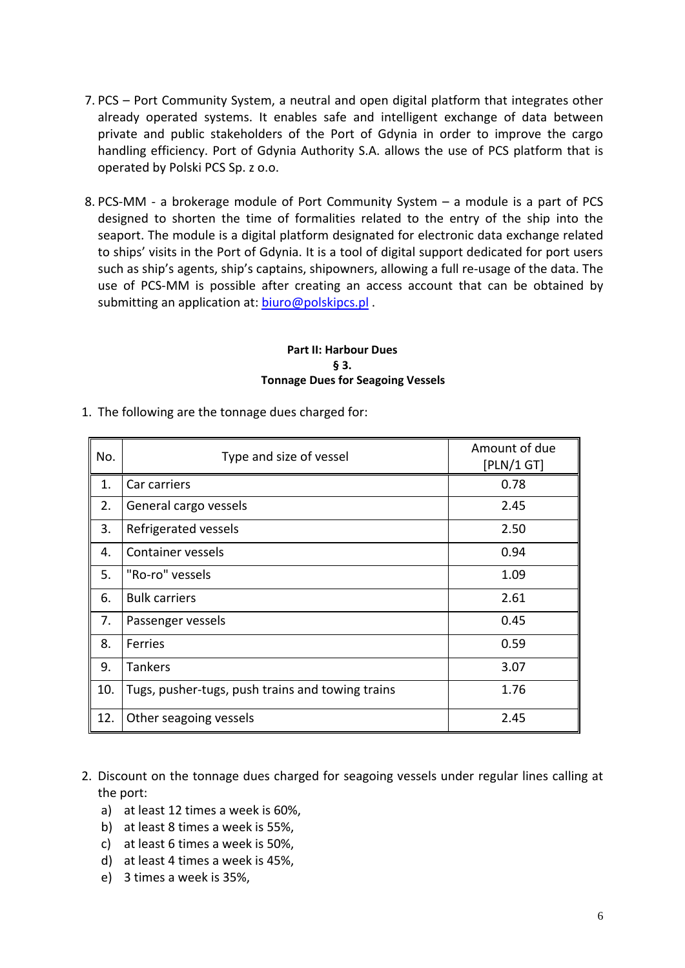- 7. PCS Port Community System, a neutral and open digital platform that integrates other already operated systems. It enables safe and intelligent exchange of data between private and public stakeholders of the Port of Gdynia in order to improve the cargo handling efficiency. Port of Gdynia Authority S.A. allows the use of PCS platform that is operated by Polski PCS Sp. z o.o.
- 8. PCS-MM a brokerage module of Port Community System a module is a part of PCS designed to shorten the time of formalities related to the entry of the ship into the seaport. The module is a digital platform designated for electronic data exchange related to ships' visits in the Port of Gdynia. It is a tool of digital support dedicated for port users such as ship's agents, ship's captains, shipowners, allowing a full re-usage of the data. The use of PCS-MM is possible after creating an access account that can be obtained by submitting an application at: [biuro@polskipcs.pl](mailto:biuro@polskipcs.pl).

## **Part II: Harbour Dues § 3. § 3. Tonnage Dues for Seagoing Vessels**

- No. No. Type and size of vessel **Amount of due** [PLN/1 GT] 1. Car carriers 0.78 2. General cargo vessels 2.45 3. Refrigerated vessels 2.50 4. Container vessels 0.94 5. "Ro-ro" vessels 1.09 6. Bulk carriers 2.61 7. Passenger vessels and the contract of the contract of the contract of the contract of the contract of the contract of the contract of the contract of the contract of the contract of the contract of the contract of the c 8. Ferries 0.59 9. Tankers 3.07 10. Tugs, pusher-tugs, push trains and towing trains 1.76 12. Other seagoing vessels 2.45
- <span id="page-5-1"></span><span id="page-5-0"></span>1. The following are the tonnage dues charged for:

- 2. Discount on the tonnage dues charged for seagoing vessels under regular lines calling at the port:
	- a) at least 12 times a week is 60%,
	- b) at least 8 times a week is 55%,
	- c) at least 6 times a week is 50%,
	- d) at least 4 times a week is 45%,
	- e) 3 times a week is 35%,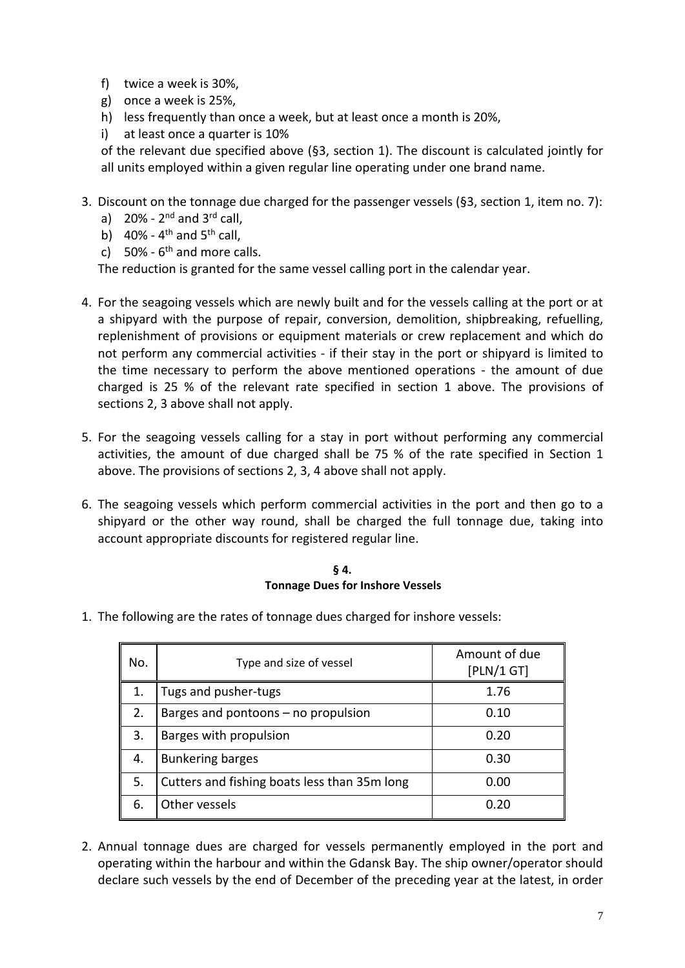- f) twice a week is 30%,
- g) once a week is 25%,
- h) less frequently than once a week, but at least once a month is 20%,
- i) at least once a quarter is 10%

of the relevant due specified above (§3, section 1). The discount is calculated jointly for all units employed within a given regular line operating under one brand name.

- 3. Discount on the tonnage due charged for the passenger vessels (§3, section 1, item no. 7):
	- a)  $20\%$   $2^{\text{nd}}$  and  $3^{\text{rd}}$  call,
	- b)  $40\%$  4<sup>th</sup> and 5<sup>th</sup> call,
	- c)  $50\%$   $6<sup>th</sup>$  and more calls.

The reduction is granted for the same vessel calling port in the calendar year.

- 4. For the seagoing vessels which are newly built and for the vessels calling at the port or at a shipyard with the purpose of repair, conversion, demolition, shipbreaking, refuelling, replenishment of provisions or equipment materials or crew replacement and which do not perform any commercial activities - if their stay in the port or shipyard is limited to the time necessary to perform the above mentioned operations - the amount of due charged is 25 % of the relevant rate specified in section 1 above. The provisions of sections 2, 3 above shall not apply.
- 5. For the seagoing vessels calling for a stay in port without performing any commercial activities, the amount of due charged shall be 75 % of the rate specified in Section 1 above. The provisions of sections 2, 3, 4 above shall not apply.
- 6. The seagoing vessels which perform commercial activities in the port and then go to a shipyard or the other way round, shall be charged the full tonnage due, taking into account appropriate discounts for registered regular line.

# **§ 4. § 4. Tonnage Dues for Inshore Vessels**

<span id="page-6-0"></span>1. The following are the rates of tonnage dues charged for inshore vessels:

| No. | Type and size of vessel                      | Amount of due<br>[PLN/1 GT] |
|-----|----------------------------------------------|-----------------------------|
| 1.  | Tugs and pusher-tugs                         | 1.76                        |
| 2.  | Barges and pontoons $-$ no propulsion        | 0.10                        |
| 3.  | Barges with propulsion                       | 0.20                        |
| 4.  | <b>Bunkering barges</b>                      | 0.30                        |
| 5.  | Cutters and fishing boats less than 35m long | 0.00                        |
| 6.  | Other vessels                                | 0.20                        |

2. Annual tonnage dues are charged for vessels permanently employed in the port and operating within the harbour and within the Gdansk Bay. The ship owner/operator should declare such vessels by the end of December of the preceding year at the latest, in order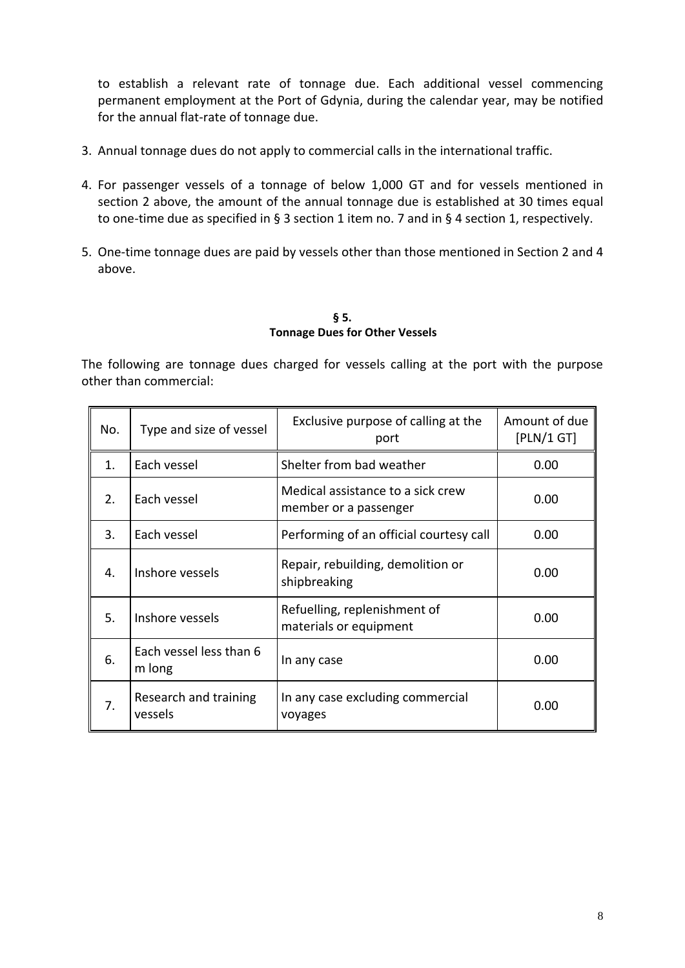to establish a relevant rate of tonnage due. Each additional vessel commencing permanent employment at the Port of Gdynia, during the calendar year, may be notified for the annual flat-rate of tonnage due.

- 3. Annual tonnage dues do not apply to commercial calls in the international traffic.
- 4. For passenger vessels of a tonnage of below 1,000 GT and for vessels mentioned in section 2 above, the amount of the annual tonnage due is established at 30 times equal to one-time due as specified in § 3 section 1 item no. 7 and in § 4 section 1, respectively.
- 5. One-time tonnage dues are paid by vessels other than those mentioned in Section 2 and 4 above.

**§ 5. § 5. Tonnage Dues for Other Vessels** 

<span id="page-7-0"></span>The following are tonnage dues charged for vessels calling at the port with the purpose other than commercial:

| No. | Type and size of vessel           | Exclusive purpose of calling at the<br>port                | Amount of due<br>[PLN/1 GT] |
|-----|-----------------------------------|------------------------------------------------------------|-----------------------------|
| 1.  | Each vessel                       | Shelter from bad weather                                   | 0.00                        |
| 2.  | Each vessel                       | Medical assistance to a sick crew<br>member or a passenger | 0.00                        |
| 3.  | Each vessel                       | Performing of an official courtesy call                    | 0.00                        |
| 4.  | Inshore vessels                   | Repair, rebuilding, demolition or<br>shipbreaking          | 0.00                        |
| 5.  | Inshore vessels                   | Refuelling, replenishment of<br>materials or equipment     | 0.00                        |
| 6.  | Each vessel less than 6<br>m long | In any case                                                | 0.00                        |
| 7.  | Research and training<br>vessels  | In any case excluding commercial<br>voyages                | 0.00                        |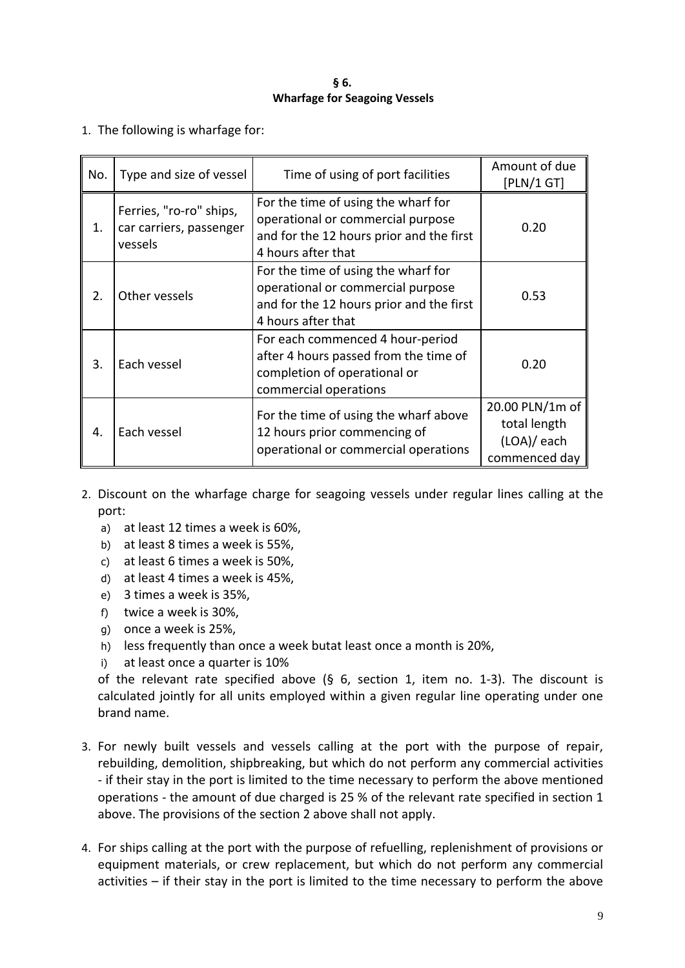## **§ 6. § 6. Wharfage for Seagoing Vessels**

<span id="page-8-0"></span>1. The following is wharfage for:

| No. | Type and size of vessel                                       | Time of using of port facilities                                                                                                           | Amount of due<br>[PLN/1 GT]                                     |
|-----|---------------------------------------------------------------|--------------------------------------------------------------------------------------------------------------------------------------------|-----------------------------------------------------------------|
| 1.  | Ferries, "ro-ro" ships,<br>car carriers, passenger<br>vessels | For the time of using the wharf for<br>operational or commercial purpose<br>and for the 12 hours prior and the first<br>4 hours after that | 0.20                                                            |
| 2.  | Other vessels                                                 | For the time of using the wharf for<br>operational or commercial purpose<br>and for the 12 hours prior and the first<br>4 hours after that | 0.53                                                            |
| 3.  | Each vessel                                                   | For each commenced 4 hour-period<br>after 4 hours passed from the time of<br>completion of operational or<br>commercial operations         | 0.20                                                            |
| 4.  | Each vessel                                                   | For the time of using the wharf above<br>12 hours prior commencing of<br>operational or commercial operations                              | 20.00 PLN/1m of<br>total length<br>(LOA)/ each<br>commenced day |

- 2. Discount on the wharfage charge for seagoing vessels under regular lines calling at the port:
	- a) at least 12 times a week is 60%,
	- b) at least 8 times a week is 55%,
	- c) at least 6 times a week is 50%,
	- d) at least 4 times a week is 45%,
	- e) 3 times a week is 35%,
	- f) twice a week is 30%,
	- g) once a week is 25%,
	- h) less frequently than once a week butat least once a month is 20%,
	- i) at least once a quarter is 10%

of the relevant rate specified above (§ 6, section 1, item no. 1-3). The discount is calculated jointly for all units employed within a given regular line operating under one brand name.

- 3. For newly built vessels and vessels calling at the port with the purpose of repair, rebuilding, demolition, shipbreaking, but which do not perform any commercial activities - if their stay in the port is limited to the time necessary to perform the above mentioned operations - the amount of due charged is 25 % of the relevant rate specified in section 1 above. The provisions of the section 2 above shall not apply.
- 4. For ships calling at the port with the purpose of refuelling, replenishment of provisions or equipment materials, or crew replacement, but which do not perform any commercial activities – if their stay in the port is limited to the time necessary to perform the above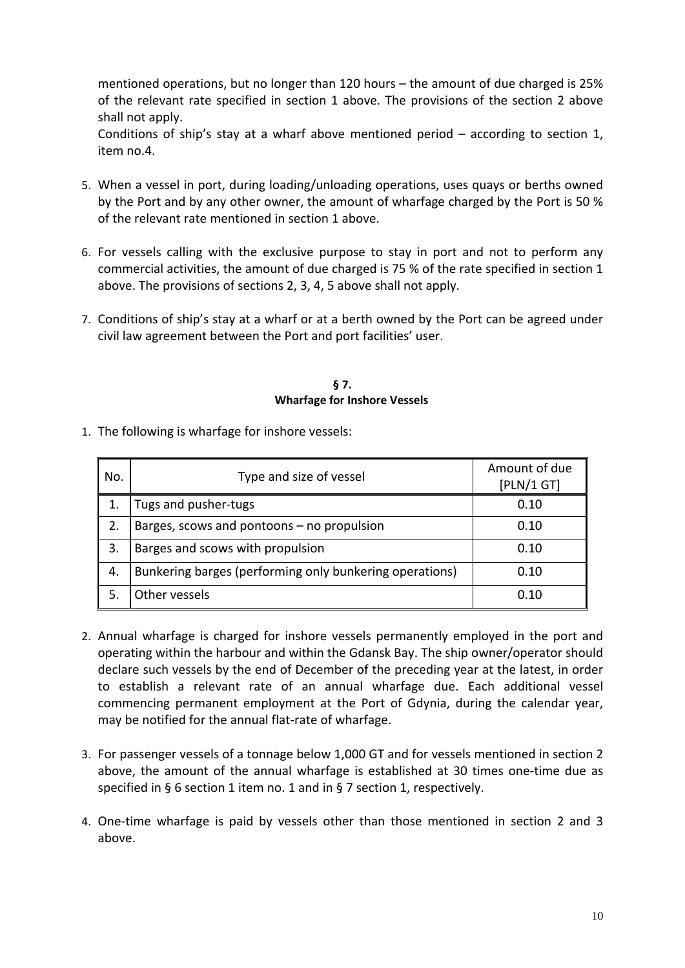mentioned operations, but no longer than 120 hours – the amount of due charged is 25% of the relevant rate specified in section 1 above. The provisions of the section 2 above shall not apply.

Conditions of ship's stay at a wharf above mentioned period – according to section 1, item no.4.

- 5. When a vessel in port, during loading/unloading operations, uses quays or berths owned by the Port and by any other owner, the amount of wharfage charged by the Port is 50 % of the relevant rate mentioned in section 1 above.
- 6. For vessels calling with the exclusive purpose to stay in port and not to perform any commercial activities, the amount of due charged is 75 % of the rate specified in section 1 above. The provisions of sections 2, 3, 4, 5 above shall not apply.
- 7. Conditions of ship's stay at a wharf or at a berth owned by the Port can be agreed under civil law agreement between the Port and port facilities' user.

# **§ 7. § 7. Wharfage for Inshore Vessels.**

<span id="page-9-0"></span>1. The following is wharfage for inshore vessels:

| No. | Type and size of vessel                                 | Amount of due<br>[PLN/1 GT] |
|-----|---------------------------------------------------------|-----------------------------|
|     | Tugs and pusher-tugs                                    | 0.10                        |
|     | Barges, scows and pontoons - no propulsion              | 0.10                        |
| 3.  | Barges and scows with propulsion                        | 0.10                        |
| 4.  | Bunkering barges (performing only bunkering operations) | 0.10                        |
|     | Other vessels                                           | 0.10                        |

- 2. Annual wharfage is charged for inshore vessels permanently employed in the port and operating within the harbour and within the Gdansk Bay. The ship owner/operator should declare such vessels by the end of December of the preceding year at the latest, in order to establish a relevant rate of an annual wharfage due. Each additional vessel commencing permanent employment at the Port of Gdynia, during the calendar year, may be notified for the annual flat-rate of wharfage.
- 3. For passenger vessels of a tonnage below 1,000 GT and for vessels mentioned in section 2 above, the amount of the annual wharfage is established at 30 times one-time due as specified in § 6 section 1 item no. 1 and in § 7 section 1, respectively.
- 4. One-time wharfage is paid by vessels other than those mentioned in section 2 and 3 above.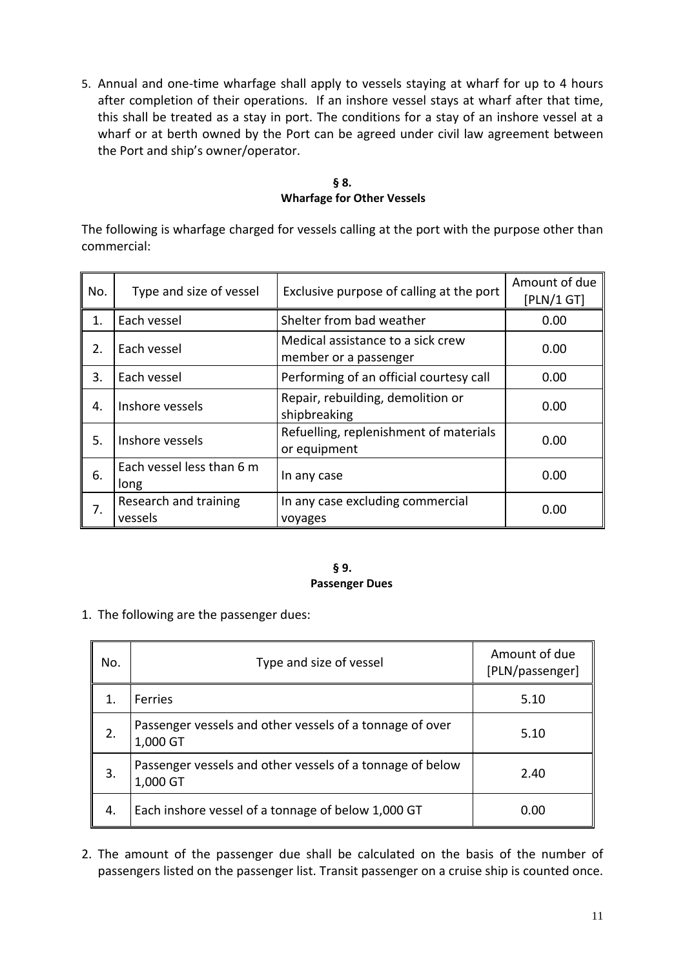5. Annual and one-time wharfage shall apply to vessels staying at wharf for up to 4 hours after completion of their operations. If an inshore vessel stays at wharf after that time, this shall be treated as a stay in port. The conditions for a stay of an inshore vessel at a wharf or at berth owned by the Port can be agreed under civil law agreement between the Port and ship's owner/operator.

# **§ 8. § 8. Wharfage for Other Vessels**

<span id="page-10-0"></span>The following is wharfage charged for vessels calling at the port with the purpose other than commercial:

| No. | Type and size of vessel           | Exclusive purpose of calling at the port                   | Amount of due<br>[PLN/1 GT] |
|-----|-----------------------------------|------------------------------------------------------------|-----------------------------|
| 1.  | Each vessel                       | Shelter from bad weather                                   | 0.00                        |
| 2.  | Each vessel                       | Medical assistance to a sick crew<br>member or a passenger | 0.00                        |
| 3.  | Each vessel                       | Performing of an official courtesy call                    | 0.00                        |
| 4.  | Inshore vessels                   | Repair, rebuilding, demolition or<br>shipbreaking          | 0.00                        |
| 5.  | Inshore vessels                   | Refuelling, replenishment of materials<br>or equipment     | 0.00                        |
| 6.  | Each vessel less than 6 m<br>long | In any case                                                | 0.00                        |
| 7.  | Research and training<br>vessels  | In any case excluding commercial<br>voyages                | 0.00                        |

#### **§ 9. § 9. Passenger Dues.**

<span id="page-10-1"></span>1. The following are the passenger dues:

| No. | Type and size of vessel                                               | Amount of due<br>[PLN/passenger] |
|-----|-----------------------------------------------------------------------|----------------------------------|
| 1.  | <b>Ferries</b>                                                        | 5.10                             |
| 2.  | Passenger vessels and other vessels of a tonnage of over<br>1,000 GT  | 5.10                             |
| 3.  | Passenger vessels and other vessels of a tonnage of below<br>1,000 GT | 2.40                             |
| 4.  | Each inshore vessel of a tonnage of below 1,000 GT                    | 0.00                             |

2. The amount of the passenger due shall be calculated on the basis of the number of passengers listed on the passenger list. Transit passenger on a cruise ship is counted once.